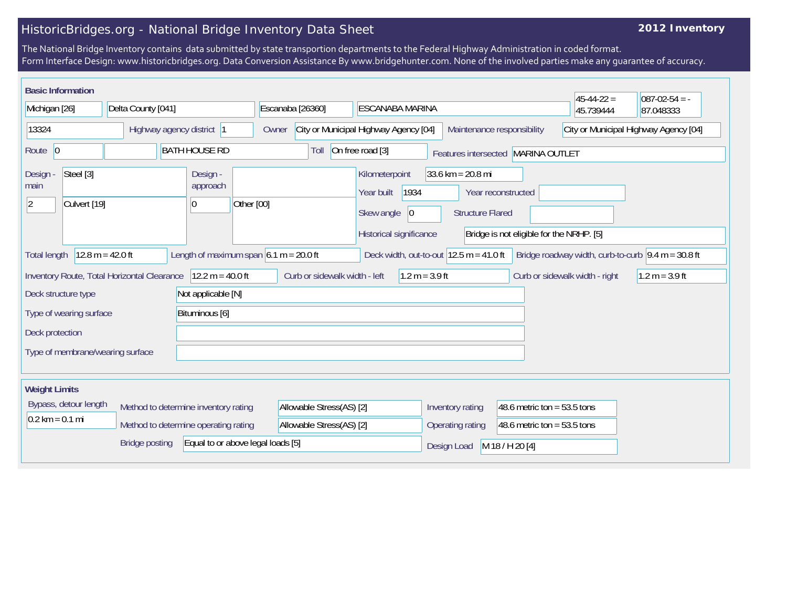## HistoricBridges.org - National Bridge Inventory Data Sheet

## **2012 Inventory**

The National Bridge Inventory contains data submitted by state transportion departments to the Federal Highway Administration in coded format. Form Interface Design: www.historicbridges.org. Data Conversion Assistance By www.bridgehunter.com. None of the involved parties make any guarantee of accuracy.

| <b>Basic Information</b>                                                                                                                                                                                         |                                      |                                          |                                                                     |                                                                                      |                                                                |                                                                | $45 - 44 - 22 =$ | $087 - 02 - 54 = -$ |
|------------------------------------------------------------------------------------------------------------------------------------------------------------------------------------------------------------------|--------------------------------------|------------------------------------------|---------------------------------------------------------------------|--------------------------------------------------------------------------------------|----------------------------------------------------------------|----------------------------------------------------------------|------------------|---------------------|
| Delta County [041]<br>Michigan [26]                                                                                                                                                                              |                                      | Escanaba [26360]                         | ESCANABA MARINA                                                     |                                                                                      |                                                                |                                                                | 87.048333        |                     |
| 13324<br>Highway agency district  1                                                                                                                                                                              |                                      | Owner                                    | City or Municipal Highway Agency [04]<br>Maintenance responsibility |                                                                                      |                                                                | City or Municipal Highway Agency [04]                          |                  |                     |
| Route 0                                                                                                                                                                                                          |                                      | <b>BATH HOUSE RD</b>                     | Toll                                                                | On free road $[3]$                                                                   |                                                                | Features intersected MARINA OUTLET                             |                  |                     |
| Steel [3]<br>Design -<br>main<br>Culvert [19]<br>$ 2\rangle$                                                                                                                                                     |                                      | Design -<br>approach<br>Other [00]<br>10 |                                                                     | Kilometerpoint<br>1934<br>Year built<br>Skew angle<br> 0 <br>Historical significance | $33.6 \text{ km} = 20.8 \text{ mi}$<br><b>Structure Flared</b> | Year reconstructed<br>Bridge is not eligible for the NRHP. [5] |                  |                     |
| $12.8 m = 42.0 ft$<br>Length of maximum span $6.1 m = 20.0 ft$<br>Deck width, out-to-out $12.5$ m = 41.0 ft<br>Bridge roadway width, curb-to-curb $\vert 9.4 \text{ m} = 30.8 \text{ ft}$<br><b>Total length</b> |                                      |                                          |                                                                     |                                                                                      |                                                                |                                                                |                  |                     |
| Inventory Route, Total Horizontal Clearance<br>$12.2 m = 40.0 ft$<br>Curb or sidewalk width - left<br>$1.2 m = 3.9 ft$<br>Curb or sidewalk width - right<br>$1.2 m = 3.9 ft$                                     |                                      |                                          |                                                                     |                                                                                      |                                                                |                                                                |                  |                     |
| Not applicable [N]<br>Deck structure type                                                                                                                                                                        |                                      |                                          |                                                                     |                                                                                      |                                                                |                                                                |                  |                     |
| Type of wearing surface<br>Bituminous [6]                                                                                                                                                                        |                                      |                                          |                                                                     |                                                                                      |                                                                |                                                                |                  |                     |
| Deck protection                                                                                                                                                                                                  |                                      |                                          |                                                                     |                                                                                      |                                                                |                                                                |                  |                     |
| Type of membrane/wearing surface                                                                                                                                                                                 |                                      |                                          |                                                                     |                                                                                      |                                                                |                                                                |                  |                     |
| <b>Weight Limits</b>                                                                                                                                                                                             |                                      |                                          |                                                                     |                                                                                      |                                                                |                                                                |                  |                     |
| Bypass, detour length                                                                                                                                                                                            | Method to determine inventory rating |                                          | Allowable Stress(AS) [2]                                            |                                                                                      | Inventory rating                                               | 48.6 metric ton = $53.5$ tons                                  |                  |                     |
| $0.2$ km = 0.1 mi                                                                                                                                                                                                | Method to determine operating rating |                                          | Allowable Stress(AS) [2]                                            |                                                                                      | Operating rating                                               | 48.6 metric ton = $53.5$ tons                                  |                  |                     |
|                                                                                                                                                                                                                  | <b>Bridge posting</b>                | Equal to or above legal loads [5]        |                                                                     |                                                                                      | Design Load                                                    | M 18 / H 20 [4]                                                |                  |                     |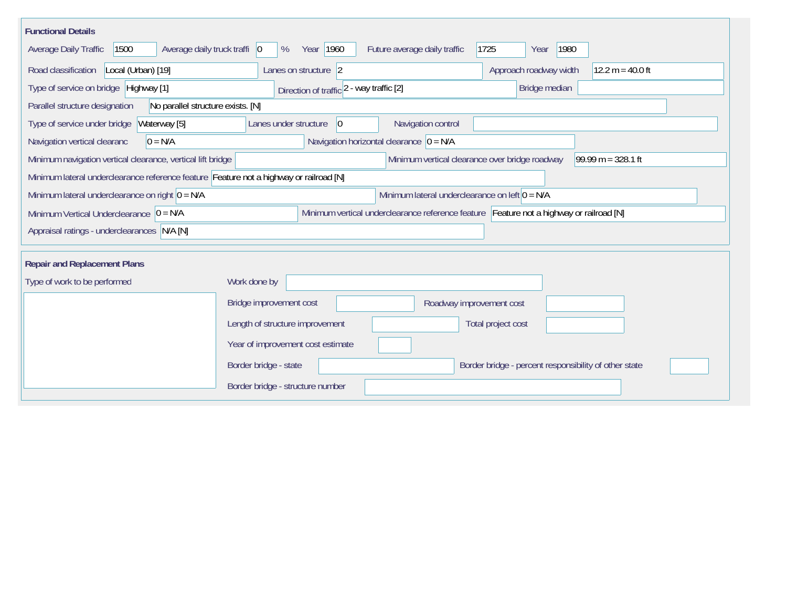| <b>Functional Details</b>                                                                                                             |                                                   |                                                                        |  |  |  |  |  |
|---------------------------------------------------------------------------------------------------------------------------------------|---------------------------------------------------|------------------------------------------------------------------------|--|--|--|--|--|
| 1500<br>Average daily truck traffi   0<br>Average Daily Traffic                                                                       | Year 1960<br>Future average daily traffic<br>%    | 1725<br>1980<br>Year                                                   |  |  |  |  |  |
| Road classification<br>Local (Urban) [19]                                                                                             | Lanes on structure 2                              | Approach roadway width<br>$12.2 m = 40.0 ft$                           |  |  |  |  |  |
| Type of service on bridge Highway [1]                                                                                                 | Bridge median                                     |                                                                        |  |  |  |  |  |
| Direction of traffic 2 - way traffic [2]<br>Parallel structure designation<br>No parallel structure exists. [N]                       |                                                   |                                                                        |  |  |  |  |  |
| Waterway [5]<br>Type of service under bridge                                                                                          | Navigation control<br>Lanes under structure<br> 0 |                                                                        |  |  |  |  |  |
| $0 = N/A$<br>Navigation vertical clearanc                                                                                             | Navigation horizontal clearance $ 0 = N/A$        |                                                                        |  |  |  |  |  |
| Minimum navigation vertical clearance, vertical lift bridge                                                                           |                                                   | Minimum vertical clearance over bridge roadway<br>$99.99 m = 328.1 ft$ |  |  |  |  |  |
| Minimum lateral underclearance reference feature Feature not a highway or railroad [N]                                                |                                                   |                                                                        |  |  |  |  |  |
| Minimum lateral underclearance on right $0 = N/A$                                                                                     | Minimum lateral underclearance on left $0 = N/A$  |                                                                        |  |  |  |  |  |
| Minimum vertical underclearance reference feature Feature not a highway or railroad [N]<br>Minimum Vertical Underclearance $ 0 = N/A$ |                                                   |                                                                        |  |  |  |  |  |
| Appraisal ratings - underclearances N/A [N]                                                                                           |                                                   |                                                                        |  |  |  |  |  |
|                                                                                                                                       |                                                   |                                                                        |  |  |  |  |  |
| <b>Repair and Replacement Plans</b>                                                                                                   |                                                   |                                                                        |  |  |  |  |  |
| Type of work to be performed                                                                                                          | Work done by                                      |                                                                        |  |  |  |  |  |
|                                                                                                                                       | Bridge improvement cost                           | Roadway improvement cost                                               |  |  |  |  |  |
|                                                                                                                                       | Length of structure improvement                   | Total project cost                                                     |  |  |  |  |  |
|                                                                                                                                       | Year of improvement cost estimate                 |                                                                        |  |  |  |  |  |
|                                                                                                                                       | Border bridge - state                             | Border bridge - percent responsibility of other state                  |  |  |  |  |  |
|                                                                                                                                       | Border bridge - structure number                  |                                                                        |  |  |  |  |  |